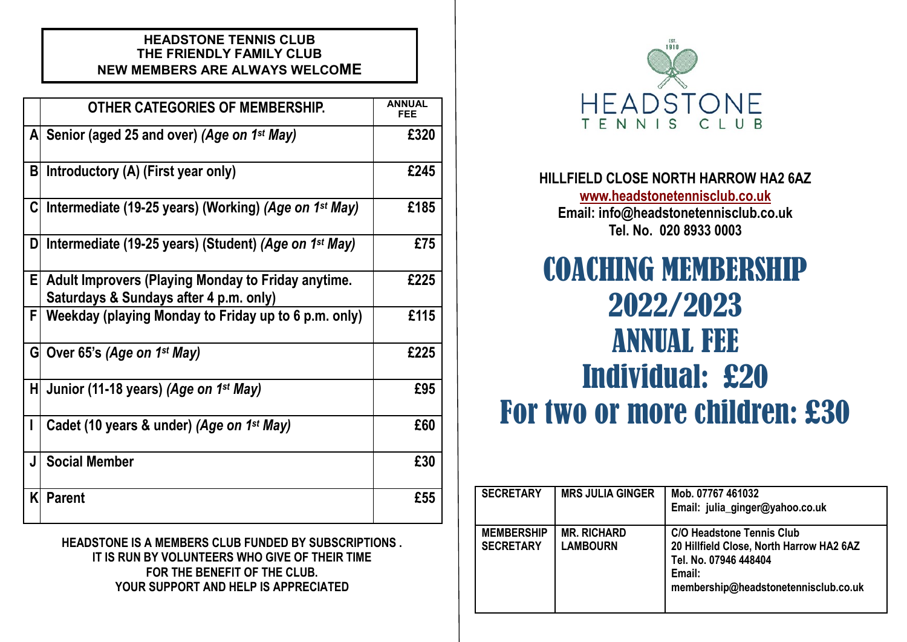## **HEADSTONE TENNIS CLUB THE FRIENDLY FAMILY CLUB NEW MEMBERS ARE ALWAYS WELCOME**

|   | <b>OTHER CATEGORIES OF MEMBERSHIP.</b>                                                       | ANNIJAI<br><b>FEE</b> |
|---|----------------------------------------------------------------------------------------------|-----------------------|
|   | A Senior (aged 25 and over) (Age on 1 <sup>st</sup> May)                                     | £320                  |
| B | Introductory (A) (First year only)                                                           | £245                  |
| C | Intermediate (19-25 years) (Working) (Age on 1 <sup>st</sup> May)                            | £185                  |
| D | Intermediate (19-25 years) (Student) (Age on 1 <sup>st</sup> May)                            | £75                   |
| E | Adult Improvers (Playing Monday to Friday anytime.<br>Saturdays & Sundays after 4 p.m. only) | £225                  |
| F | Weekday (playing Monday to Friday up to 6 p.m. only)                                         | £115                  |
|   | G Over 65's (Age on $1^{st}$ May)                                                            | £225                  |
| H | Junior (11-18 years) (Age on 1 <sup>st</sup> May)                                            | £95                   |
| L | Cadet (10 years & under) (Age on 1 <sup>st</sup> May)                                        | £60                   |
| J | <b>Social Member</b>                                                                         | £30                   |
| K | <b>Parent</b>                                                                                | £55                   |

**HEADSTONE IS A MEMBERS CLUB FUNDED BY SUBSCRIPTIONS . IT IS RUN BY VOLUNTEERS WHO GIVE OF THEIR TIME FOR THE BENEFIT OF THE CLUB. YOUR SUPPORT AND HELP IS APPRECIATED**



# **HILLFIELD CLOSE NORTH HARROW HA2 6AZ [www.headstonetennisclub.co.uk](http://www.headstonetennisclub.co.uk) Email: info@headstonetennisclub.co.uk Tel. No. 020 8933 0003**

# COACHING MEMBERSHIP 2022/2023 ANNUAL FEE Individual: £20 For two or more children: £30

| <b>SECRETARY</b>                      | <b>MRS JULIA GINGER</b>               | Mob. 07767 461032<br>Email: julia_ginger@yahoo.co.uk                                                                                                    |
|---------------------------------------|---------------------------------------|---------------------------------------------------------------------------------------------------------------------------------------------------------|
| <b>MEMBERSHIP</b><br><b>SECRETARY</b> | <b>MR. RICHARD</b><br><b>LAMBOURN</b> | <b>C/O Headstone Tennis Club</b><br>20 Hillfield Close, North Harrow HA2 6AZ<br>Tel. No. 07946 448404<br>Email:<br>membership@headstonetennisclub.co.uk |